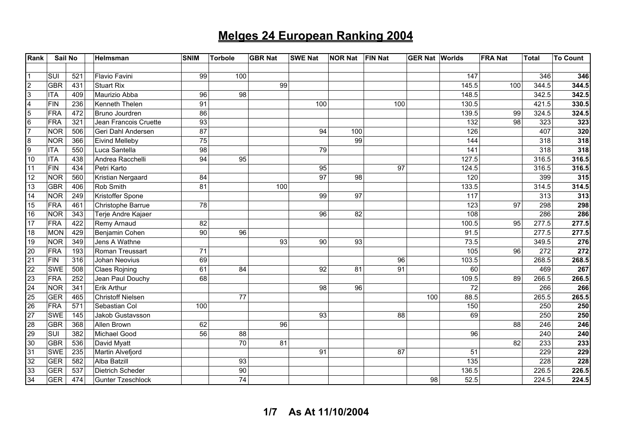| Rank                    | Sail No    |     | Helmsman                 | <b>SNIM</b> | <b>Torbole</b>  | <b>GBR Nat</b> | <b>SWE Nat</b> | <b>NOR Nat</b>  | <b>FIN Nat</b><br><b>GER Nat Worlds</b> |       | <b>FRA Nat</b> | <b>Total</b> | <b>To Count</b> |
|-------------------------|------------|-----|--------------------------|-------------|-----------------|----------------|----------------|-----------------|-----------------------------------------|-------|----------------|--------------|-----------------|
|                         |            |     |                          |             |                 |                |                |                 |                                         |       |                |              |                 |
|                         | SUI        | 521 | Flavio Favini            | 99          | 100             |                |                |                 |                                         | 147   |                | 346          | 346             |
| $\overline{2}$          | GBR        | 431 | <b>Stuart Rix</b>        |             |                 | 99             |                |                 |                                         | 145.5 | 100            | 344.5        | 344.5           |
| $\overline{3}$          | <b>ITA</b> | 409 | Maurizio Abba            | 96          | 98              |                |                |                 |                                         | 148.5 |                | 342.5        | 342.5           |
| $\overline{\mathbf{4}}$ | <b>FIN</b> | 236 | Kenneth Thelen           | 91          |                 |                | 100            |                 | 100                                     | 130.5 |                | 421.5        | 330.5           |
| $\overline{5}$          | <b>FRA</b> | 472 | Bruno Jourdren           | 86          |                 |                |                |                 |                                         | 139.5 | 99             | 324.5        | 324.5           |
| $6\phantom{.}6$         | <b>FRA</b> | 321 | Jean Francois Cruette    | 93          |                 |                |                |                 |                                         | 132   | 98             | 323          | 323             |
| $\overline{7}$          | <b>NOR</b> | 506 | Geri Dahl Andersen       | 87          |                 |                | 94             | 100             |                                         | 126   |                | 407          | 320             |
| 8                       | <b>NOR</b> | 366 | <b>Eivind Melleby</b>    | 75          |                 |                |                | 99              |                                         | 144   |                | 318          | 318             |
| $\overline{9}$          | <b>ITA</b> | 550 | Luca Santella            | 98          |                 |                | 79             |                 |                                         | 141   |                | 318          | 318             |
| 10                      | <b>ITA</b> | 438 | Andrea Racchelli         | 94          | 95              |                |                |                 |                                         | 127.5 |                | 316.5        | 316.5           |
| 11                      | FIN        | 434 | Petri Karto              |             |                 |                | 95             |                 | 97                                      | 124.5 |                | 316.5        | 316.5           |
| 12                      | <b>NOR</b> | 560 | Kristian Nergaard        | 84          |                 |                | 97             | 98              |                                         | 120   |                | 399          | 315             |
| 13                      | <b>GBR</b> | 406 | Rob Smith                | 81          |                 | 100            |                |                 |                                         | 133.5 |                | 314.5        | 314.5           |
| 14                      | <b>NOR</b> | 249 | Kristoffer Spone         |             |                 |                | 99             | 97              |                                         | 117   |                | 313          | 313             |
| 15                      | FRA        | 461 | Christophe Barrue        | 78          |                 |                |                |                 |                                         | 123   | 97             | 298          | 298             |
| 16                      | <b>NOR</b> | 343 | Terje Andre Kajaer       |             |                 |                | 96             | 82              |                                         | 108   |                | 286          | 286             |
| 17                      | <b>FRA</b> | 422 | Remy Arnaud              | 82          |                 |                |                |                 |                                         | 100.5 | 95             | 277.5        | 277.5           |
| 18                      | <b>MON</b> | 429 | Benjamin Cohen           | 90          | 96              |                |                |                 |                                         | 91.5  |                | 277.5        | 277.5           |
| 19                      | <b>NOR</b> | 349 | Jens A Wathne            |             |                 | 93             | 90             | $\overline{93}$ |                                         | 73.5  |                | 349.5        | 276             |
| 20                      | <b>FRA</b> | 193 | Roman Treussart          | 71          |                 |                |                |                 |                                         | 105   | 96             | 272          | 272             |
| $\overline{21}$         | <b>FIN</b> | 316 | Johan Neovius            | 69          |                 |                |                |                 | 96                                      | 103.5 |                | 268.5        | 268.5           |
| 22                      | <b>SWE</b> | 508 | <b>Claes Rojning</b>     | 61          | 84              |                | 92             | 81              | 91                                      | 60    |                | 469          | 267             |
| 23                      | FRA        | 252 | Jean Paul Douchy         | 68          |                 |                |                |                 |                                         | 109.5 | 89             | 266.5        | 266.5           |
| 24                      | <b>NOR</b> | 341 | Erik Arthur              |             |                 |                | 98             | 96              |                                         | 72    |                | 266          | 266             |
| 25                      | <b>GER</b> | 465 | Christoff Nielsen        |             | $\overline{77}$ |                |                |                 | 100                                     | 88.5  |                | 265.5        | 265.5           |
| 26                      | FRA        | 571 | Sebastian Col            | 100         |                 |                |                |                 |                                         | 150   |                | 250          | 250             |
| 27                      | <b>SWE</b> | 145 | Jakob Gustavsson         |             |                 |                | 93             |                 | 88                                      | 69    |                | 250          | 250             |
| 28                      | <b>GBR</b> | 368 | Allen Brown              | 62          |                 | 96             |                |                 |                                         |       | 88             | 246          | 246             |
| 29                      | SUI        | 382 | Michael Good             | 56          | 88              |                |                |                 |                                         | 96    |                | 240          | 240             |
| 30                      | GBR        | 536 | David Myatt              |             | 70              | 81             |                |                 |                                         |       | 82             | 233          | 233             |
| 31                      | <b>SWE</b> | 235 | Martin Alvefjord         |             |                 |                | 91             |                 | 87                                      | 51    |                | 229          | 229             |
| 32                      | <b>GER</b> | 582 | Alba Batzill             |             | 93              |                |                |                 |                                         | 135   |                | 228          | 228             |
| 33                      | <b>GER</b> | 537 | <b>Dietrich Scheder</b>  |             | 90              |                |                |                 |                                         | 136.5 |                | 226.5        | 226.5           |
| 34                      | <b>GER</b> | 474 | <b>Gunter Tzeschlock</b> |             | 74              |                |                |                 | 98                                      | 52.5  |                | 224.5        | 224.5           |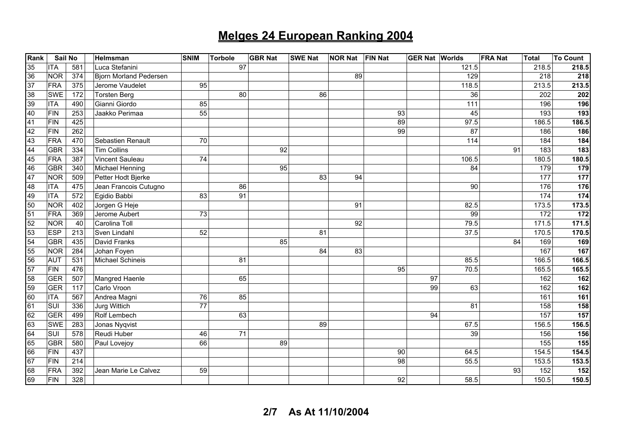| Rank            | Sail No    |     | Helmsman                      | <b>SNIM</b>     | <b>Torbole</b> | <b>GBR Nat</b> | <b>SWE Nat</b> | <b>NOR Nat</b> | <b>FIN Nat</b> | <b>GER Nat Worlds</b> |                 | <b>FRA Nat</b> | <b>Total</b> | <b>To Count</b>  |
|-----------------|------------|-----|-------------------------------|-----------------|----------------|----------------|----------------|----------------|----------------|-----------------------|-----------------|----------------|--------------|------------------|
| 35              | <b>ITA</b> | 581 | Luca Stefanini                |                 | 97             |                |                |                |                |                       | 121.5           |                | 218.5        | 218.5            |
| 36              | <b>NOR</b> | 374 | <b>Bjorn Morland Pedersen</b> |                 |                |                |                | 89             |                |                       | 129             |                | 218          | 218              |
| $\overline{37}$ | <b>FRA</b> | 375 | Jerome Vaudelet               | 95              |                |                |                |                |                |                       | 118.5           |                | 213.5        | 213.5            |
| 38              | <b>SWE</b> | 172 | <b>Torsten Berg</b>           |                 | 80             |                | 86             |                |                |                       | 36              |                | 202          | 202              |
| 39              | <b>ITA</b> | 490 | Gianni Giordo                 | 85              |                |                |                |                |                |                       | 111             |                | 196          | 196              |
| 40              | <b>FIN</b> | 253 | Jaakko Perimaa                | 55              |                |                |                |                | 93             |                       | 45              |                | 193          | 193              |
| 41              | <b>FIN</b> | 425 |                               |                 |                |                |                |                | 89             |                       | 97.5            |                | 186.5        | 186.5            |
| 42              | <b>FIN</b> | 262 |                               |                 |                |                |                |                | 99             |                       | 87              |                | 186          | 186              |
| 43              | <b>FRA</b> | 470 | Sebastien Renault             | 70              |                |                |                |                |                |                       | 114             |                | 184          | 184              |
| 44              | <b>GBR</b> | 334 | <b>Tim Collins</b>            |                 |                | 92             |                |                |                |                       |                 | 91             | 183          | 183              |
| 45              | <b>FRA</b> | 387 | Vincent Sauleau               | 74              |                |                |                |                |                |                       | 106.5           |                | 180.5        | 180.5            |
| 46              | <b>GBR</b> | 340 | Michael Henning               |                 |                | 95             |                |                |                |                       | $\overline{84}$ |                | 179          | 179              |
| 47              | <b>NOR</b> | 509 | Petter Hodt Bjerke            |                 |                |                | 83             | 94             |                |                       |                 |                | 177          | 177              |
| 48              | <b>ITA</b> | 475 | Jean Francois Cutugno         |                 | 86             |                |                |                |                |                       | 90              |                | 176          | 176              |
| 49              | <b>ITA</b> | 572 | Egidio Babbi                  | 83              | 91             |                |                |                |                |                       |                 |                | 174          | 174              |
| 50              | <b>NOR</b> | 402 | Jorgen G Heje                 |                 |                |                |                | 91             |                |                       | 82.5            |                | 173.5        | 173.5            |
| 51              | <b>FRA</b> | 369 | Jerome Aubert                 | $\overline{73}$ |                |                |                |                |                |                       | 99              |                | 172          | $172$            |
| 52              | <b>NOR</b> | 40  | Carolina Toll                 |                 |                |                |                | 92             |                |                       | 79.5            |                | 171.5        | 171.5            |
| 53              | <b>ESP</b> | 213 | Sven Lindahl                  | 52              |                |                | 81             |                |                |                       | 37.5            |                | 170.5        | 170.5            |
| 54              | <b>GBR</b> | 435 | David Franks                  |                 |                | 85             |                |                |                |                       |                 | 84             | 169          | 169              |
| 55              | <b>NOR</b> | 284 | Johan Foyen                   |                 |                |                | 84             | 83             |                |                       |                 |                | 167          | 167              |
| 56              | <b>AUT</b> | 531 | Michael Schineis              |                 | 81             |                |                |                |                |                       | 85.5            |                | 166.5        | 166.5            |
| 57              | <b>FIN</b> | 476 |                               |                 |                |                |                |                | 95             |                       | 70.5            |                | 165.5        | 165.5            |
| 58              | <b>GER</b> | 507 | Mangred Haenle                |                 | 65             |                |                |                |                | 97                    |                 |                | 162          | 162              |
| 59              | <b>GER</b> | 117 | Carlo Vroon                   |                 |                |                |                |                |                | 99                    | 63              |                | 162          | 162              |
| 60              | <b>ITA</b> | 567 | Andrea Magni                  | 76              | 85             |                |                |                |                |                       |                 |                | 161          | 161              |
| 61              | SUI        | 336 | Jurg Wittich                  | 77              |                |                |                |                |                |                       | 81              |                | 158          | 158              |
| 62              | <b>GER</b> | 499 | Rolf Lembech                  |                 | 63             |                |                |                |                | 94                    |                 |                | 157          | 157              |
| 63              | <b>SWE</b> | 283 | Jonas Nyqvist                 |                 |                |                | 89             |                |                |                       | 67.5            |                | 156.5        | 156.5            |
| 64              | SUI        | 578 | Reudi Huber                   | 46              | 71             |                |                |                |                |                       | 39              |                | 156          | 156              |
| 65              | <b>GBR</b> | 580 | Paul Lovejoy                  | 66              |                | 89             |                |                |                |                       |                 |                | 155          | 155              |
| 66              | <b>FIN</b> | 437 |                               |                 |                |                |                |                | 90             |                       | 64.5            |                | 154.5        | 154.5            |
| 67              | <b>FIN</b> | 214 |                               |                 |                |                |                |                | 98             |                       | 55.5            |                | 153.5        | 153.5            |
| 68              | <b>FRA</b> | 392 | Jean Marie Le Calvez          | 59              |                |                |                |                |                |                       |                 | 93             | 152          | $\overline{152}$ |
| 69              | <b>FIN</b> | 328 |                               |                 |                |                |                |                | 92             |                       | 58.5            |                | 150.5        | 150.5            |

**2/7 As At 11/10/2004**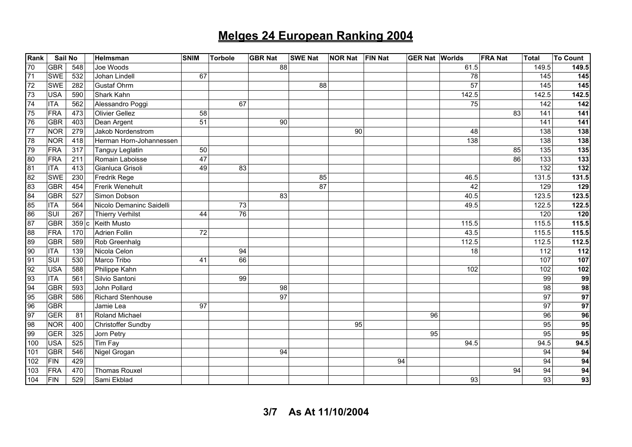| Rank | Sail No    |      | Helmsman                 | SNIM | <b>Torbole</b>  | <b>GBR Nat</b>  | <b>SWE Nat</b> | <b>NOR Nat</b> | <b>FIN Nat</b><br><b>GER Nat Worlds</b> |                 | <b>FRA Nat</b> | <b>Total</b>    | <b>To Count</b>  |
|------|------------|------|--------------------------|------|-----------------|-----------------|----------------|----------------|-----------------------------------------|-----------------|----------------|-----------------|------------------|
| 70   | <b>GBR</b> | 548  | Joe Woods                |      |                 | 88              |                |                |                                         | 61.5            |                | 149.5           | 149.5            |
| 71   | SWE        | 532  | Johan Lindell            | 67   |                 |                 |                |                |                                         | 78              |                | 145             | 145              |
| 72   | <b>SWE</b> | 282  | <b>Gustaf Ohrm</b>       |      |                 |                 | 88             |                |                                         | $\overline{57}$ |                | 145             | $\overline{145}$ |
| 73   | <b>USA</b> | 590  | Shark Kahn               |      |                 |                 |                |                |                                         | 142.5           |                | 142.5           | 142.5            |
| 74   | <b>ITA</b> | 562  | Alessandro Poggi         |      | 67              |                 |                |                |                                         | 75              |                | 142             | 142              |
| 75   | <b>FRA</b> | 473  | <b>Olivier Gellez</b>    | 58   |                 |                 |                |                |                                         |                 | 83             | 141             | $\overline{141}$ |
| 76   | <b>GBR</b> | 403  | Dean Argent              | 51   |                 | 90              |                |                |                                         |                 |                | 141             | 141              |
| 77   | <b>NOR</b> | 279  | Jakob Nordenstrom        |      |                 |                 |                | 90             |                                         | 48              |                | 138             | 138              |
| 78   | <b>NOR</b> | 418  | Herman Horn-Johannessen  |      |                 |                 |                |                |                                         | 138             |                | 138             | 138              |
| 79   | <b>FRA</b> | 317  | Tanguy Leglatin          | 50   |                 |                 |                |                |                                         |                 | 85             | 135             | 135              |
| 80   | <b>FRA</b> | 211  | Romain Laboisse          | 47   |                 |                 |                |                |                                         |                 | 86             | 133             | $\overline{133}$ |
| 81   | <b>ITA</b> | 413  | Gianluca Grisoli         | 49   | 83              |                 |                |                |                                         |                 |                | 132             | 132              |
| 82   | <b>SWE</b> | 230  | Fredrik Rege             |      |                 |                 | 85             |                |                                         | 46.5            |                | 131.5           | 131.5            |
| 83   | <b>GBR</b> | 454  | Frerik Wenehult          |      |                 |                 | 87             |                |                                         | 42              |                | 129             | 129              |
| 84   | <b>GBR</b> | 527  | Simon Dobson             |      |                 | 83              |                |                |                                         | 40.5            |                | 123.5           | 123.5            |
| 85   | <b>ITA</b> | 564  | Nicolo Demaninc Saidelli |      | 73              |                 |                |                |                                         | 49.5            |                | 122.5           | 122.5            |
| 86   | <b>SUI</b> | 267  | <b>Thierry Verhilst</b>  | 44   | $\overline{76}$ |                 |                |                |                                         |                 |                | 120             | 120              |
| 87   | <b>GBR</b> | 359c | Keith Musto              |      |                 |                 |                |                |                                         | 115.5           |                | 115.5           | 115.5            |
| 88   | <b>FRA</b> | 170  | <b>Adrien Follin</b>     | 72   |                 |                 |                |                |                                         | 43.5            |                | 115.5           | 115.5            |
| 89   | GBR        | 589  | Rob Greenhalg            |      |                 |                 |                |                |                                         | 112.5           |                | 112.5           | 112.5            |
| 90   | <b>ITA</b> | 139  | Nicola Celon             |      | 94              |                 |                |                |                                         | 18              |                | 112             | 112              |
| 91   | SUI        | 530  | Marco Tribo              | 41   | 66              |                 |                |                |                                         |                 |                | 107             | 107              |
| 92   | <b>USA</b> | 588  | Philippe Kahn            |      |                 |                 |                |                |                                         | 102             |                | 102             | $\overline{102}$ |
| 93   | <b>ITA</b> | 561  | Silvio Santoni           |      | 99              |                 |                |                |                                         |                 |                | 99              | 99               |
| 94   | <b>GBR</b> | 593  | John Pollard             |      |                 | 98              |                |                |                                         |                 |                | 98              | 98               |
| 95   | <b>GBR</b> | 586  | Richard Stenhouse        |      |                 | $\overline{97}$ |                |                |                                         |                 |                | $\overline{97}$ | 97               |
| 96   | <b>GBR</b> |      | Jamie Lea                | 97   |                 |                 |                |                |                                         |                 |                | 97              | 97               |
| 97   | <b>GER</b> | 81   | Roland Michael           |      |                 |                 |                |                | 96                                      |                 |                | 96              | 96               |
| 98   | <b>NOR</b> | 400  | Christoffer Sundby       |      |                 |                 |                | 95             |                                         |                 |                | 95              | 95               |
| 99   | <b>GER</b> | 325  | Jorn Petry               |      |                 |                 |                |                | 95                                      |                 |                | 95              | 95               |
| 100  | <b>USA</b> | 525  | Tim Fay                  |      |                 |                 |                |                |                                         | 94.5            |                | 94.5            | 94.5             |
| 101  | <b>GBR</b> | 546  | Nigel Grogan             |      |                 | 94              |                |                |                                         |                 |                | 94              | 94               |
| 102  | <b>FIN</b> | 429  |                          |      |                 |                 |                |                | 94                                      |                 |                | 94              | 94               |
| 103  | FRA        | 470  | <b>Thomas Rouxel</b>     |      |                 |                 |                |                |                                         |                 | 94             | 94              | 94               |
| 104  | <b>FIN</b> | 529  | Sami Ekblad              |      |                 |                 |                |                |                                         | 93              |                | 93              | 93               |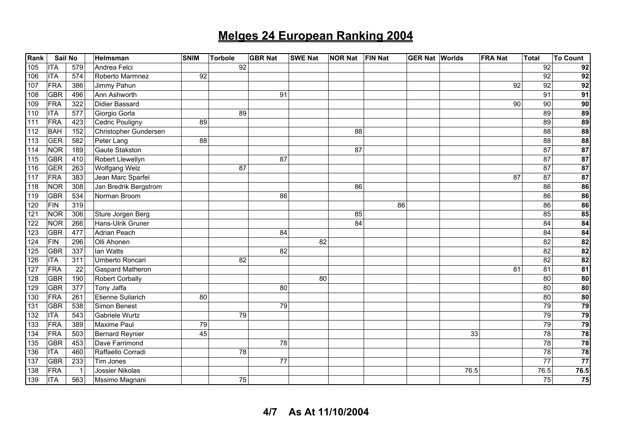| <b>Rank</b> | Sail No    |              | Helmsman                | <b>SNIM</b> | <b>Torbole</b>  | <b>GBR Nat</b> | <b>SWE Nat</b><br><b>NOR Nat</b> | <b>FIN Nat</b> | <b>GER Nat Worlds</b> |      | <b>FRA Nat</b> | <b>Total</b>    | <b>To Count</b>          |
|-------------|------------|--------------|-------------------------|-------------|-----------------|----------------|----------------------------------|----------------|-----------------------|------|----------------|-----------------|--------------------------|
| 105         | <b>ITA</b> | 579          | Andrea Felci            |             | 92              |                |                                  |                |                       |      |                | 92              | 92                       |
| 106         | <b>ITA</b> | 574          | Roberto Marmnez         | 92          |                 |                |                                  |                |                       |      |                | 92              | 92                       |
| 107         | FRA        | 386          | Jimmy Pahun             |             |                 |                |                                  |                |                       |      | 92             | $\overline{92}$ | 92                       |
| 108         | <b>GBR</b> | 496          | Ann Ashworth            |             |                 | 91             |                                  |                |                       |      |                | 91              | 91                       |
| 109         | FRA        | 322          | <b>Didier Bassard</b>   |             |                 |                |                                  |                |                       |      | 90             | 90              | 90                       |
| 110         | <b>ITA</b> | 577          | Giorgio Gorla           |             | $\overline{89}$ |                |                                  |                |                       |      |                | 89              | 89                       |
| 111         | <b>FRA</b> | 423          | Cedric Pouligny         | 89          |                 |                |                                  |                |                       |      |                | 89              | 89                       |
| 112         | <b>BAH</b> | 152          | Christopher Gundersen   |             |                 |                | 88                               |                |                       |      |                | 88              | $\overline{\mathbf{88}}$ |
| 113         | <b>GER</b> | 582          | Peter Lang              | 88          |                 |                |                                  |                |                       |      |                | 88              | $\overline{88}$          |
| 114         | <b>NOR</b> | 189          | <b>Gaute Stakston</b>   |             |                 |                | 87                               |                |                       |      |                | 87              | $\overline{87}$          |
| 115         | <b>GBR</b> | 410          | Robert Llewellyn        |             |                 | 87             |                                  |                |                       |      |                | 87              | 87                       |
| 116         | <b>GER</b> | 263          | <b>Wolfgang Welz</b>    |             | $\overline{87}$ |                |                                  |                |                       |      |                | 87              | 87                       |
| 117         | FRA        | 383          | Jean Marc Sparfel       |             |                 |                |                                  |                |                       |      | 87             | 87              | $\overline{87}$          |
| 118         | <b>NOR</b> | 308          | Jan Bredrik Bergstrom   |             |                 |                | 86                               |                |                       |      |                | 86              | 86                       |
| 119         | <b>GBR</b> | 534          | Norman Broom            |             |                 | 86             |                                  |                |                       |      |                | 86              | 86                       |
| 120         | FIN        | 319          |                         |             |                 |                |                                  | 86             |                       |      |                | 86              | 86                       |
| 121         | <b>NOR</b> | 306          | Sture Jorgen Berg       |             |                 |                | 85                               |                |                       |      |                | 85              | 85                       |
| 122         | <b>NOR</b> | 266          | Hans-Ulrik Gruner       |             |                 |                | 84                               |                |                       |      |                | 84              | 84                       |
| 123         | <b>GBR</b> | 477          | Adrian Peach            |             |                 | 84             |                                  |                |                       |      |                | 84              | 84                       |
| 124         | FIN        | 296          | Olli Ahonen             |             |                 |                | 82                               |                |                       |      |                | $\overline{82}$ | 82                       |
| 125         | <b>GBR</b> | 337          | lan Watts               |             |                 | 82             |                                  |                |                       |      |                | 82              | $\overline{82}$          |
| 126         | <b>ITA</b> | 311          | Umberto Roncari         |             | 82              |                |                                  |                |                       |      |                | 82              | $\overline{82}$          |
| 127         | FRA        | 22           | <b>Gaspard Matheron</b> |             |                 |                |                                  |                |                       |      | 81             | 81              | 81                       |
| 128         | <b>GBR</b> | 190          | <b>Robert Corbally</b>  |             |                 |                | 80                               |                |                       |      |                | 80              | $\overline{80}$          |
| 129         | <b>GBR</b> | 377          | Tony Jaffa              |             |                 | 80             |                                  |                |                       |      |                | 80              | ${\bf 80}$               |
| 130         | FRA        | 261          | Etienne Suilarich       | 80          |                 |                |                                  |                |                       |      |                | 80              | 80                       |
| 131         | <b>GBR</b> | 538          | Simon Benest            |             |                 | 79             |                                  |                |                       |      |                | 79              | 79                       |
| 132         | <b>ITA</b> | 543          | Gabriele Wurtz          |             | 79              |                |                                  |                |                       |      |                | 79              | 79                       |
| 133         | FRA        | 389          | Maxime Paul             | 79          |                 |                |                                  |                |                       |      |                | 79              | 79                       |
| 134         | FRA        | 503          | Bernard Reynier         | 45          |                 |                |                                  |                |                       |      | 33             | 78              | 78                       |
| 135         | <b>GBR</b> | 453          | Dave Farrimond          |             |                 | 78             |                                  |                |                       |      |                | $\overline{78}$ | $\overline{78}$          |
| 136         | <b>ITA</b> | 460          | Raffaello Corradi       |             | 78              |                |                                  |                |                       |      |                | 78              | 78                       |
| 137         | <b>GBR</b> | 233          | Tim Jones               |             |                 | 77             |                                  |                |                       |      |                | 77              | $\overline{77}$          |
| 138         | FRA        | $\mathbf{1}$ | Jossier Nikolas         |             |                 |                |                                  |                |                       | 76.5 |                | 76.5            | 76.5                     |
| 139         | <b>ITA</b> | 563          | Mssimo Magnani          |             | 75              |                |                                  |                |                       |      |                | 75              | 75                       |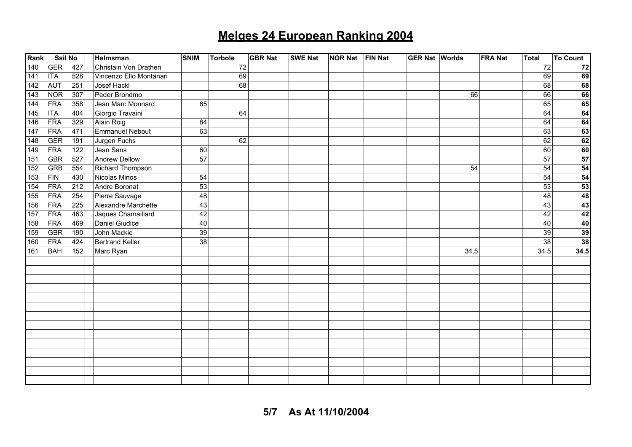| Rank | Sail No    |                  | Helmsman                | <b>SNIM</b> | <b>Torbole</b> | <b>GBR Nat</b> | <b>SWE Nat</b> | <b>NOR Nat</b> | <b>FIN Nat</b> | <b>GER Nat Worlds</b> |      | <b>FRA Nat</b> | Total           | <b>To Count</b>                                      |
|------|------------|------------------|-------------------------|-------------|----------------|----------------|----------------|----------------|----------------|-----------------------|------|----------------|-----------------|------------------------------------------------------|
| 140  | <b>GER</b> | 427              | Christain Von Drathen   |             | 72             |                |                |                |                |                       |      |                | 72              | 72                                                   |
| 141  | <b>ITA</b> | 528              | Vincenzo Ello Montanari |             | 69             |                |                |                |                |                       |      |                | 69              | 69                                                   |
| 142  | <b>AUT</b> | 251              | Josef Hackl             |             | 68             |                |                |                |                |                       |      |                | 68              | 68                                                   |
| 143  | <b>NOR</b> | 307              | Peder Brondmo           |             |                |                |                |                |                |                       | 66   |                | 66              | 66                                                   |
| 144  | FRA        | 358              | Jean Marc Monnard       | 65          |                |                |                |                |                |                       |      |                | 65              |                                                      |
| 145  | <b>ITA</b> | 404              | Giorgio Travaini        |             | 64             |                |                |                |                |                       |      |                | 64              | $\begin{array}{c}\n 65 \\ \hline\n 64\n \end{array}$ |
| 146  | <b>FRA</b> | 329              | Alain Roig              | 64          |                |                |                |                |                |                       |      |                | 64              | 64                                                   |
| 147  | <b>FRA</b> | 471              | Emmanuel Nebout         | 63          |                |                |                |                |                |                       |      |                | 63              | 63                                                   |
| 148  | <b>GER</b> | 191              | Jurgen Fuchs            |             | 62             |                |                |                |                |                       |      |                | 62              | 62                                                   |
| 149  | FRA        | 122              | Jean Sans               | 60          |                |                |                |                |                |                       |      |                | 60              | 60                                                   |
| 151  | <b>GBR</b> | 527              | <b>Andrew Dellow</b>    | 57          |                |                |                |                |                |                       |      |                | 57              | 57                                                   |
| 152  | <b>GRB</b> | 554              | Richard Thompson        |             |                |                |                |                |                |                       | 54   |                | 54              | 54                                                   |
| 153  | <b>FIN</b> | 430              | Nicolas Minos           | 54          |                |                |                |                |                |                       |      |                | 54              | 54                                                   |
| 154  | <b>FRA</b> | $\overline{212}$ | Andre Boronat           | 53          |                |                |                |                |                |                       |      |                | 53              | 53                                                   |
| 155  | <b>FRA</b> | 254              | Pierre Sauvage          | 48          |                |                |                |                |                |                       |      |                | 48              | 48                                                   |
| 156  | <b>FRA</b> | 225              | Alexandre Marchette     | 43          |                |                |                |                |                |                       |      |                | 43              | 43                                                   |
| 157  | <b>FRA</b> | 463              | Jaques Chamaillard      | 42          |                |                |                |                |                |                       |      |                | 42              | 42                                                   |
| 158  | FRA        | 469              | Daniel Giudice          | 40          |                |                |                |                |                |                       |      |                | 40              | 40                                                   |
| 159  | <b>GBR</b> | 190              | John Mackie             | 39          |                |                |                |                |                |                       |      |                | 39              | $\frac{39}{38}$                                      |
| 160  | FRA        | 424              | <b>Bertrand Keller</b>  | 38          |                |                |                |                |                |                       |      |                | $\overline{38}$ |                                                      |
| 161  | <b>BAH</b> | 152              | Marc Ryan               |             |                |                |                |                |                |                       | 34.5 |                | 34.5            | 34.5                                                 |
|      |            |                  |                         |             |                |                |                |                |                |                       |      |                |                 |                                                      |
|      |            |                  |                         |             |                |                |                |                |                |                       |      |                |                 |                                                      |
|      |            |                  |                         |             |                |                |                |                |                |                       |      |                |                 |                                                      |
|      |            |                  |                         |             |                |                |                |                |                |                       |      |                |                 |                                                      |
|      |            |                  |                         |             |                |                |                |                |                |                       |      |                |                 |                                                      |
|      |            |                  |                         |             |                |                |                |                |                |                       |      |                |                 |                                                      |
|      |            |                  |                         |             |                |                |                |                |                |                       |      |                |                 |                                                      |
|      |            |                  |                         |             |                |                |                |                |                |                       |      |                |                 |                                                      |
|      |            |                  |                         |             |                |                |                |                |                |                       |      |                |                 |                                                      |
|      |            |                  |                         |             |                |                |                |                |                |                       |      |                |                 |                                                      |
|      |            |                  |                         |             |                |                |                |                |                |                       |      |                |                 |                                                      |
|      |            |                  |                         |             |                |                |                |                |                |                       |      |                |                 |                                                      |
|      |            |                  |                         |             |                |                |                |                |                |                       |      |                |                 |                                                      |
|      |            |                  |                         |             |                |                |                |                |                |                       |      |                |                 |                                                      |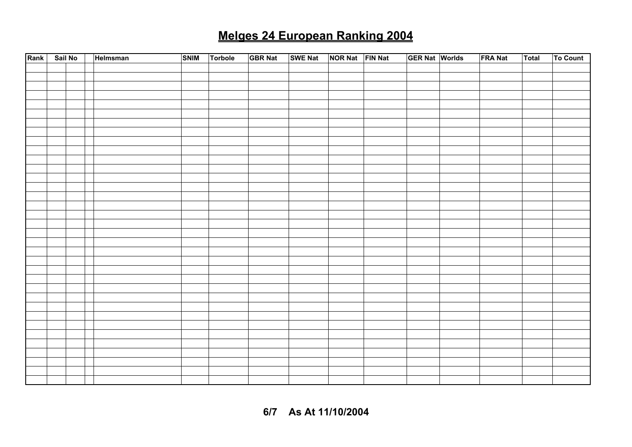| Rank | Sail No | Helmsman | <b>SNIM</b> | Torbole | <b>GBR Nat</b> | SWE Nat NOR Nat FIN Nat |  | <b>GER Nat Worlds</b> | <b>FRA Nat</b> | <b>Total</b> | To Count |
|------|---------|----------|-------------|---------|----------------|-------------------------|--|-----------------------|----------------|--------------|----------|
|      |         |          |             |         |                |                         |  |                       |                |              |          |
|      |         |          |             |         |                |                         |  |                       |                |              |          |
|      |         |          |             |         |                |                         |  |                       |                |              |          |
|      |         |          |             |         |                |                         |  |                       |                |              |          |
|      |         |          |             |         |                |                         |  |                       |                |              |          |
|      |         |          |             |         |                |                         |  |                       |                |              |          |
|      |         |          |             |         |                |                         |  |                       |                |              |          |
|      |         |          |             |         |                |                         |  |                       |                |              |          |
|      |         |          |             |         |                |                         |  |                       |                |              |          |
|      |         |          |             |         |                |                         |  |                       |                |              |          |
|      |         |          |             |         |                |                         |  |                       |                |              |          |
|      |         |          |             |         |                |                         |  |                       |                |              |          |
|      |         |          |             |         |                |                         |  |                       |                |              |          |
|      |         |          |             |         |                |                         |  |                       |                |              |          |
|      |         |          |             |         |                |                         |  |                       |                |              |          |
|      |         |          |             |         |                |                         |  |                       |                |              |          |
|      |         |          |             |         |                |                         |  |                       |                |              |          |
|      |         |          |             |         |                |                         |  |                       |                |              |          |
|      |         |          |             |         |                |                         |  |                       |                |              |          |
|      |         |          |             |         |                |                         |  |                       |                |              |          |
|      |         |          |             |         |                |                         |  |                       |                |              |          |
|      |         |          |             |         |                |                         |  |                       |                |              |          |
|      |         |          |             |         |                |                         |  |                       |                |              |          |
|      |         |          |             |         |                |                         |  |                       |                |              |          |
|      |         |          |             |         |                |                         |  |                       |                |              |          |
|      |         |          |             |         |                |                         |  |                       |                |              |          |
|      |         |          |             |         |                |                         |  |                       |                |              |          |
|      |         |          |             |         |                |                         |  |                       |                |              |          |
|      |         |          |             |         |                |                         |  |                       |                |              |          |
|      |         |          |             |         |                |                         |  |                       |                |              |          |
|      |         |          |             |         |                |                         |  |                       |                |              |          |
|      |         |          |             |         |                |                         |  |                       |                |              |          |
|      |         |          |             |         |                |                         |  |                       |                |              |          |
|      |         |          |             |         |                |                         |  |                       |                |              |          |

**6/7 As At 11/10/2004**